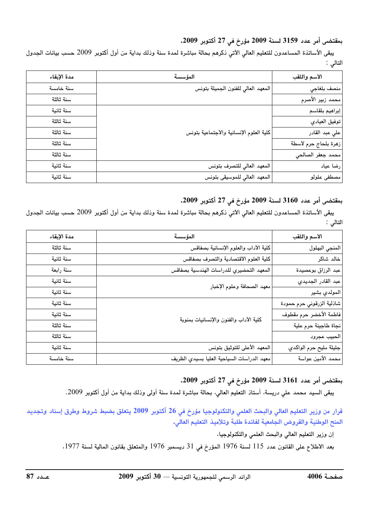# بمقتضى أمر عدد 3159 لسنة 2009 مؤرخ في 27 أكتوبر 2009.

يبقى الأساتذة المساعدون للتعليم العالي الآتي ذكرهم بحالة مباشرة لمدة سنة وذلك بداية من أول أكتوبر 2009 حسب بيانات الجدول التالي :

| مدة الإبقاء | المؤسسة                                 | الاسم واللقب         |
|-------------|-----------------------------------------|----------------------|
| سنة خامسة   | المعهد العالى للفنون الجميلة بتونس      | منصف بلغاجى          |
| سنة ثالثة   |                                         | محمد زبير الأصرم     |
| سنة ثانية   |                                         | إبراهيم بلقاسم       |
| سنة ثالثة   |                                         | توفيق العيادي        |
| سنة ثالثة   | كلية العلوم الإنسانية والاجتماعية بتونس | على عبد القادر       |
| سنة ثالثة   |                                         | زهرة بلحاج حرم لاسطة |
| سنة ثالثة   |                                         | محمد جعفر الصالحى    |
| سنة ثانية   | المعهد العالي للتصرف بتونس              | رضا عياد             |
| سنة ثانية   | المعهد العالي للموسيقى بتونس            | مصطفى علولو          |

# بمقتضى أمر عدد 3160 لسنة 2009 مؤرخ في 27 أكتوبر 2009.

يبقى الأساتذة المساعدون للتعليم العالي الآتي ذكرهم بحالة مباشرة لمدة سنة وذلك بداية من أول أكتوبر 2009 حسب بيانات الجدول التالي :

| مدة الإبقاء | المؤسسة                                    | الاسم واللقب              |
|-------------|--------------------------------------------|---------------------------|
| سنة ثالثة   | كلية الأداب والعلوم الإنسانية بصفاقس       | المنجي البهلول            |
| سنة ثانية   | كلية العلوم الاقتصادية والتصرف بصفاقس      | خالد شاكر                 |
| سنة رابعة   | المعهد التحضيري للدراسات الهندسية بصفاقس   | عبد الرزاق بوعصيدة        |
| سنة ثانية   |                                            | عبد القادر الجديدي        |
| سنة ثانية   | معهد الصحافة وعلوم الإخبار                 | المولدي بشير              |
| سنة ثانية   | كلية الأداب والفنون والإنسانيات بمنوبة     | شاذلية الزرقوني حرم حمودة |
| سنة ثانية   |                                            | فاطمة الأخضر حرم مقطوف    |
| سنة ثالثة   |                                            | نجاة طاجينة حرم علية      |
| سنة ثالثة   |                                            | الحبيب عجرود              |
| سنة ثانية   | المعهد الأعلى للتوثيق بتونس                | جليلة مليح حرم الواكدي    |
| سنة خامسة   | معهد الدراسات السياحية العليا بسيدي الظريف | محمد الأمين عواسة         |

# بمقتضى أمر عدد 3161 لسنة 2009 مؤرخ في 27 أكتوبر 2009.

يبقى السيد محمد علي دريسة، أستاذ التعليم العالي، بحالة مباشرة لمدة سنة أولى وذلك بداية من أول أكتوبر 2009.

قرار من وزير التعليم العالي والبحث العلمي والتكنولوجيا مؤرخ في 26 أكتوبر 2009 يتعلق بضبط شروط وطرق إسناد وتجديد المنح الوطنية والقروض الجامعية لفائدة طلبة وتلاميذ التعليم العالي.

إن وزير التعليم العالي والبحث العلمي والتكنولوجيا،

بعد الاطلاع على القانون عدد 115 لسنة 1976 المؤرخ في 31 ديسمبر 1976 والمتعلق بقانون المالية لسنة 1977،<br>-<br>حـة 4006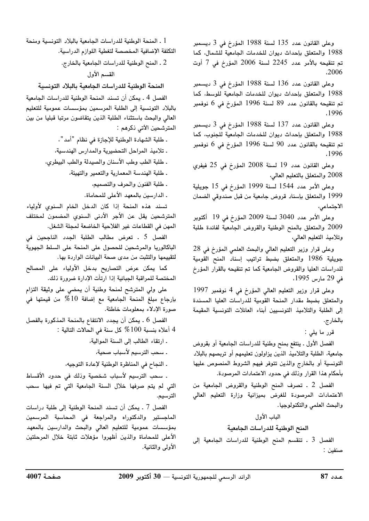وعلى القانون عدد 135 لسنة 1988 المؤرخ في 3 ديسمبر 1988 والمتعلق بإحداث ديوان للخدمات الجامعية للشمال، كما تم تنقيحه بالأمر عدد 2245 لسنة 2006 المؤرخ في 7 أوت ,2006

وعلى القانون عدد 136 لسنة 1988 المؤرخ في 3 ديسمبر 1988 والمتعلق بإحداث ديوان للخدمات الجامعية للوسط، كما تم تنقيحه بالقانون عدد 89 لسنة 1996 المؤرخ في 6 نوفمبر .1996

وعلى القانون عدد 137 لسنة 1988 المؤرخ في 3 ديسمبر 1988 والمتعلق بإحداث ديوان للخدمات الجامعية للجنوب، كما تم تنقيحه بالقانون عدد 90 لسنة 1996 المؤرخ في 6 نوفمبر .1996

وعلى القانون عدد 19 لسنة 2008 المؤرخ في 25 فيفري 2008 والمتعلق بالتعليم العالي،

وعلى الأمر عدد 1544 لسنة 1999 المؤرخ في 15 جويلية 1999 والمتعلق بإسناد قروض جامعية من قبل صندوقي الضمان الاجتماعي،

وعلى الأمر عدد 3040 لسنة 2009 المؤرخ في 19 أكتوبر 2009 والمتعلق بالمنح الوطنية والقروض الجامعية لفائدة طلبة وتلاميذ التعليم العالى،

وعلى قرار وزير التعليم العالي والبحث العلمي المؤرخ فى 28 جويلية 1986 والمتعلق بضبط تراتيب إسناد المنح القومية للدراسات العليا والقروض الجامعية كما تم تنقيحه بالقرار المؤرخ في 29 مارس 1995،

وعلى قرار وزير التعليم العالى المؤرخ في 4 نوفمبر 1997 والمتعلق بضبط مقدار المنحة القومية للدراسات العليا المسندة إلى الطلبة والتلاميذ التونسيين أبناء العائلات التونسية المقيمة بالخارج.

قرر ما يلي :

الفصل الأول ـ ينتفع بمنح وطنية للدراسات الجامعية أو بقروض جامعية، الطلبة والتلاميذ الذين يزاولون تعليمهم أو تربصهم بالبلاد التونسية أو بالخارج والذين تتوفر فيهم الشروط المنصوص عليها بأحكام هذا القرار وذلك في حدود الاعتمادات المرصودة.

الفصل 2 ـ تصرف المنح الوطنية والقروض الجامعية من الاعتمادات المرصودة للغرض بميزانية وزارة التعليم العالى والبحث العلمى والتكنولوجيا.

#### الباب الأول

#### المنح الوطنية للدراسات الجامعية

الفصل 3 . تنقسم المنح الوطنية للدراسات الجامعية إلى صنفين :

1 ـ المنحة الوطنية للدراسات الجامعية بالبلاد التونسية ومنحة التكلفة الإضافية المخصصة لتغطية اللوازم الدراسية.

2 ـ المنح الوطنية للدراسات الجامعية بالخارج.

القسم الأول

المنحة الوطنية للدراسات الجامعية بالبلاد التونسية

الفصل 4 ـ يمكن أن تسند المنحة الوطنية للدراسات الجامعية بالبلاد التونسية إلى الطلبة المرسمين بمؤسسات عمومية للتعليم العالى والبحث باستثناء الطلبة الذين يتقاضون مرتبا قبليا من بين المترشحين الآتي نكرهم :

. طلبة الشهادة الوطنية للإجازة في نظام "أمد"،

ـ تلاميذ المراحل التحضيرية والمدارس الهندسية،

. طلبة الطب وطب الأسنان والصيدلة والطب البيطري،

. طلبة الهندسة المعمارية والتعمير والتهيئة،

ـ طلبة الفنون والحرف والتصميم،

ـ الدارسين بالمعهد الأعلى للمحاماة.

تسند هذه المنحة إذا كان الدخل الخام السنوى لأولياء المترشحين يقل عن الأجر الأدنى السنوى المضمون لمختلف المهن في القطاعات غير الفلاحية الخاضعة لمجلة الشغل.

الفصل 5 ـ تعرض مطالب الطلبة الجدد الناجحين في الباكالوريا والمرشحين للحصول على المنحة على السلط الجهوية لتقييمها والتثبت من مدى صحة البيانات الواردة بها.

كما يمكن عرض التصاريح بدخل الأولياء على المصالح المختصة للمراقبة الجبائية إذا ارتأت الإدارة ضرورة ذلك.

على ولى المترشح لمنحة وطنية أن يمضى على وثيقة التزام بإرجاع مبلغ المنحة الجامعية مع إضافة 10% من قيمتها فى صورة الإدلاء بمعلومات خاطئة.

الفصل 6 . يمكن أن يجدد الانتفاع بالمنحة المذكورة بالفصل 4 أعلاه بنسبة 100 % كل سنة في الحالات التالية :

ـ ارتقاء الطالب إلى السنة الموالية،

. سحب الترسيم لأسباب صحية،

. النجاح في المناظرة الوطنية لإعادة التوجيه،

. سحب الترسيم لأسباب شخصية وذلك في حدود الأقساط التي لم يتم صرفها خلال السنة الجامعية التي تم فيها سحب الترسيم.

الفصل 7 ـ يمكن أن تسند المنحة الوطنية إلى طلبة دراسات الماجستير والدكتوراه والمراجعة فى المحاسبة المرسمين بمؤسسات عمومية للتعليم العالي والبحث والدارسين بالمعهد الأعلى للمحاماة والذين أظهروا مؤهلات ثابتة خلال المرحلتين الأولى والثانية.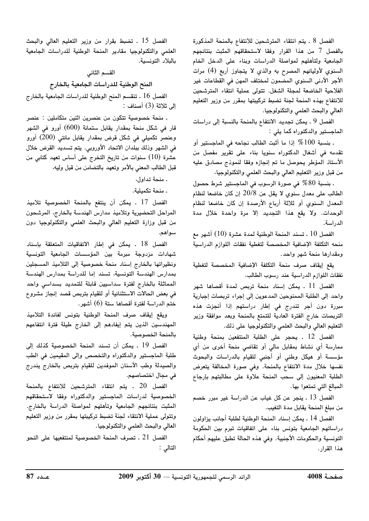الفصل 8 . يتم انتقاء المترشحين للانتفاع بالمنحة المذكورة بالفصل 7 من هذا القرار وفقا لاستحقاقهم المثبت بنتائجهم الجامعية ولتأهلهم لمواصلة الدراسات وبناء على الدخل الخام السنوي لأوليائهم المصرح به والذي لا يتجاوز أربع (4) مرات الأجر الأدنى السنوي المضمون لمختلف المهن في القطاعات غير الفلاحية الخاضعة لمجلة الشغل. تتولى عملية انتقاء المترشحين للانتفاع بهذه المنحة لجنة تضبط تركيبتها بمقرر من وزير التعليم العالى والبحث العلمى والتكنولوجيا.

الفصل 9 ـ يمكن تجديد الانتفاع بالمنحة بالنسبة إلى دراسات الماجستير والدكتوراه كما يلي :

ـ بنسبة 100 % إذا ما أثبت الطالب نجاحه في الماجستير أو تقدمه فى أشغال الدكتوراه سنويا بناء على تقرير مفصل من الأستاذ المؤطر يحوصل ما تم إنجازه وفقا لنموذج مصادق عليه من قبل وزير التعليم العالى والبحث العلمى والتكنولوجيا،

. بنسبة 80% في صورة الرسوب في الماجستير شرط حصول الطالب على معدل سنوى لا يقل عن 20/8 إن كان خاضعا لنظام المعدل السنوى أو ثلاثة أرباع الأرصدة إن كان خاضعا لنظام الوحدات. ولا يقع هذا التجديد إلا مرة واحدة خلال مدة الدراسة.

الفصل 10 . تسند المنحة الوطنية لمدة عشرة (10) أشهر مع منحه التكلفة الإضافية المخصصة لتغطية نفقات اللوازم الدراسية ومقدارها منحة شهر واحد.

يقع إيقاف صرف منحة التكلفة الإضافية المخصصة لتغطية نفقات اللوازم الدراسية عند رسوب الطالب.

الفصل 11 . يمكن إسناد منحة تربص لمدة أقصاها شهر واحد إلى الطلبة الممنوحين المدعوين إلى إجراء تربصات إجبارية مبررة دون أجر تندرج فى إطار دراستهم إذا أنجزت هذه التربصات خارج الفترة العادية للتمتع بالمنحة وبعد موافقة وزير التعليم العالى والبحث العلمى والتكنولوجيا على ذلك.

الفصل 12 . يحجر على الطلبة المنتفعين بمنحة وطنية ممارسة أي نشاط بمقابل مالي أو تقاضي منحة أخرى من أي مؤسسة أو هيكل وطنى أو أجنبى للقيام بالدراسات والبحوث نفسها خلال مدة الانتفاع بالمنحة. وفي صورة المخالفة يتعرض الطلبة المعنيون إلى سحب المنحة علاوة على مطالبتهم بإرجاع المبالغ التي تمتعوا بها.

الفصل 13 . ينجر عن كل غياب عن الدراسة غير مبرر خصم من مبلغ المنحة يقابل مدة التغيب.

الفصل 14 ـ يمكن إسناد المنحة الوطنية لطلبة أجانب يزاولون دراساتهم الجامعية بتونس بناء على اتفاقيات تبرم بين الحكومة التونسية والحكومات الأجنبية. وفي هذه الحالة تطبق عليهم أحكام هذا القرار.

الفصل 15 . تضبط بقرار من وزير التعليم العالى والبحث العلمى والتكنولوجيا مقادير المنحة الوطنية للدراسات الجامعية بالبلاد التونسية.

القسم الثاني

المنح الوطنية للدراسات الجامعية بالخارج

الفصل 16 . تنقسم المنح الوطنية للدراسات الجامعية بالخارج إلى ثلاثة (3) أصناف :

. منحة خصوصية تتكون من عنصرين اثنين متكاملين : عنصر قار في شكل منحة بمقدار يقابل ستمائة (600) أورو في الشهر وعنصر تكميلي في شكل قرض بمقدار يقابل مائتي (200) أورو في الشهر وذلك ببلدان الاتحاد الأوروبي. يتم تسديد القرض خلال عشرة (10) سنوات من تاريخ التخرج على أساس تعهد كتابي من قبل الطالب المعنى بالأمر وتعهد بالتضامن من قبل وليه،

. منحة تداول،

. منحة تكميلية.

الفصل 17 . يمكن أن ينتفع بالمنحة الخصوصية تلاميذ المراحل التحضيرية وتلاميذ مدارس الهندسة بالخارج، المرشحون من قبل وزارة التعليم العالى والبحث العلمى والتكنولوجيا دون سواهم.

الفصل 18 . يمكن في إطار الاتفاقيات المتعلقة بإسناد شهادات مزدوجة مبرمة بين المؤسسات الجامعية التونسية ونظيراتها بالخارج إسناد منحة خصوصية إلى التلاميذ المسجلين بمدارس الهندسة التونسية، تسند إما للدراسة بمدارس الهندسة المماثلة بالخارج لفترة سداسيين قابلة للتمديد بسداسي واحد في بعض الحالات الاستثنائية أو للقيام بتربص قصد إنجاز مشروع ختم الدراسة لفترة أقصاها ستة (6) أشهر.

ويقع إيقاف صرف المنحة الوطنية بتونس لفائدة التلاميذ المهندسين الذين يتم إيفادهم إلى الخارج طيلة فترة انتفاعهم بالمنحة الخصوصية.

الفصل 19 . يمكن أن تسند المنحة الخصوصية كذلك إلى طلبة الماجستير والدكتوراه والتخصص وإلى المقيمين فى الطب والصيدلة وطب الأسنان الموفدين للقيام بتربص بالخارج يندرج في مجال اختصاصهم.

الفصل 20 . يتم انتقاء المترشحين للانتفاع بالمنحة الخصوصية لدراسات الماجستير والدكتوراه وفقا لاستحقاقهم المثبت بنتائجهم الجامعية وتأهلهم لمواصلة الدراسة بالخارج. وتتولى عملية الانتقاء لجنة تضبط تركيبتها بمقرر من وزير التعليم العالى والبحث العلمى والتكنولوجيا.

الفصل 21 ـ تصرف المنحة الخصوصية لمنتفعيها على النحو التالي :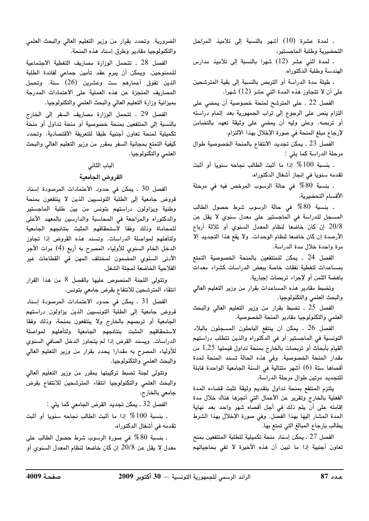ـ لمدة عشرة (10) أشهر بالنسبة إلى تلاميذ المراحل التحضيرية وطلبة الماجستير،

. لمدة اثنى عشر (12) شهرا بالنسبة إلى تلاميذ مدارس الهندسة وطلبة الدكتوراه،

. طيلة مدة الدراسة أو التربص بالنسبة إلى بقية المترشحين على أن لا تتجاوز هذه المدة اثنى عشر (12) شهرا.

الفصل 22 . على المترشح لمنحة خصوصية أن يمضى على التزام ينص على الرجوع إلى تراب الجمهورية بعد إتمام دراسته أو تربصه. وعلى وليه أن يمضي على وثيقة تعهد بالتضامن لإرجاع مبلغ المنحة في صورة الإخلال بهذا الالتزام.

الفصل 23 ـ يمكن تجديد الانتفاع بالمنحة الخصوصية طوال مرحلة الدراسة كما يلي :

. بنسبة 100% إذا ما أثبت الطالب نجاحه سنويا أو أثبت تقدمه سنويا في إنجاز أشغال الدكتوراه،

. بنسبة 80% في حالة الرسوب المرخص فيه في مرحلة الأقسام التحضيرية،

ـ بنسبة 80% في حالة الرسوب شرط حصول الطالب المسجل للدراسة فى الماجستير على معدل سنوي لا يقل عن 20/8 إن كان خاضعا لنظام المعدل السنوى أو ثلاثة أرباع الأرصدة إن كان خاضعا لنظام الوحدات. ولا يقع هذا التجديد إلا مرة واحدة خلال مدة الدراسة.

الفصل 24 . يمكن للمنتفعين بالمنحة الخصوصية التمتع بمساعدات لتغطية نفقات خاصة ببعض الدراسات كشراء معدات باهضة الثمن أو لإجراء تربصات إجبارية.

وتضبط مقادير هذه المساعدات بقرار من وزير التعليم العالى والبحث العلمى والتكنولوجيا.

الفصل 25 ـ تضبط بقرار من وزير التعليم العالي والبحث العلمي والتكنولوجيا مقادير المنحة الخصوصية.

الفصل 26 . يمكن أن ينتفع الباحثون المسجلون بالبلاد التونسية في الماجستير أو في الدكتوراه والذين تتطلب دراستهم القيام بأبحاث أو تربصات بالخارج بمنحة تداول قيمتها 1,25 من مقدار المنحة الخصوصية. وفي هذه الحالة تسند المنحة لمدة أقصاها ستة (6) أشهر متتالية فى السنة الجامعية الواحدة قابلة للتجديد مرتين طوال مرحلة الدراسة.

يلتزم المنتفع بمنحة تداول بتقديم وثيقة تثبت قضاءه المدة الفعلية بالخارج وتقرير عن الأعمال التي أنجزها هناك خلال مدة إقامته على أن يتم ذلك في أجل أقصاه شهر واحد بعد نهاية المدة المشار إليها بهذا الفصل. وفي صورة الإخلال بهذا الشرط يطالب بإرجاع المبالغ التي تمتع بها.

الفصل 27 ـ يمكن إسناد منحة تكميلية للطلبة المنتفعين بمنح تعاون أجنبية إذا ما تبين أن هذه الأخيرة لا تفى بحاجياتهم

الضرورية. وتحدد بقرار من وزير التعليم العالي والبحث العلمي والتكنولوجيا مقادير وطرق إسناد هذه المنحة.

الفصل 28 . تتحمل الوزارة مصاريف التغطية الاجتماعية للممنوحين. ويمكن أن يبرم عقد تأمين جماعى لفائدة الطلبة الذين تفوق أعمارهم ست وعشرين (26) سنة. وتحمل المصاريف المنجزة عن هذه العملية على الاعتمادات المدرجة بميزانية وزارة التعليم العالي والبحث العلمي والتكنولوجيا.

الفصل 29 ـ تتحمل الوزارة مصاريف السفر إلى الخارج بالنسبة إلى المنتفعين بمنحة خصوصية أو منحة تداول أو منحة تكميلية لمنحة تعاون أجنبية طبقا للتعريفة الاقتصادية. وتحدد كيفية التمتع بمجانية السفر بمقرر من وزير التعليم العالى والبحث العلمي والتكنولوجيا.

### الباب الثاني

### القروض الجامعية

الفصل 30 . يمكن في حدود الاعتمادات المرصودة إسناد قروض جامعية إلى الطلبة التونسيين الذين لا ينتفعون بمنحة وطنية ويزاولون دراستهم بتونس من بين طلبة الماجستير والدكتوراه والمراجعة فى المحاسبة والدارسين بالمعهد الأعلى للمحاماة وذلك وفقا لاستحقاقهم المثبت بنتائجهم الجامعية ولتأهلهم لمواصلة الدراسات. وتسند هذه القروض إذا تجاوز الدخل الخام السنوي للأولياء المصرح به أربع (4) مرات الأجر الأدنى السنوى المضمون لمختلف المهن فى القطاعات غير الفلاحية الخاضعة لمحلة الشغل.

وتتولى اللجنة المنصوص عليها بالفصل 8 من هذا القرار انتقاء المترشحين للانتفاع بقرض جامعي بتونس.

الفصل 31 . يمكن في حدود الاعتمادات المرصودة إسناد قروض جامعية إلى الطلبة التونسيين الذين يزاولون دراستهم الجامعية أو تربصهم بالخارج ولا ينتفعون بمنحة، وذلك وفقا لاستحقاقهم المثبت بنتائجهم الجامعية ولتأهلهم لمواصلة الدراسات. ويسند القرض إذا لم يتجاوز الدخل الصافى السنوى للأولياء المصرح به مقدارا يحدد بقرار من وزير التعليم العالي والبحث العلمي والتكنولوجيا.

وتتولى لجنة تضبط تركيبتها بمقرر من وزير التعليم العالي والبحث العلمى والتكنولوجيا انتقاء المترشحين للانتفاع بقرض جامعي بالخارج.

الفصل 32 ـ يمكن تجديد القرض الجامعي كما يلي :

ـ بنسبة 100 % إذا ما أثبت الطالب نجاحه سنويا أو أثبت تقدمه في أشغال الدكتوراه،

. بنسبة 80% في صورة الرسوب شرط حصول الطالب على معدل لا يقل عن 20/8 إن كان خاضعا لنظام المعدل السنوي أو